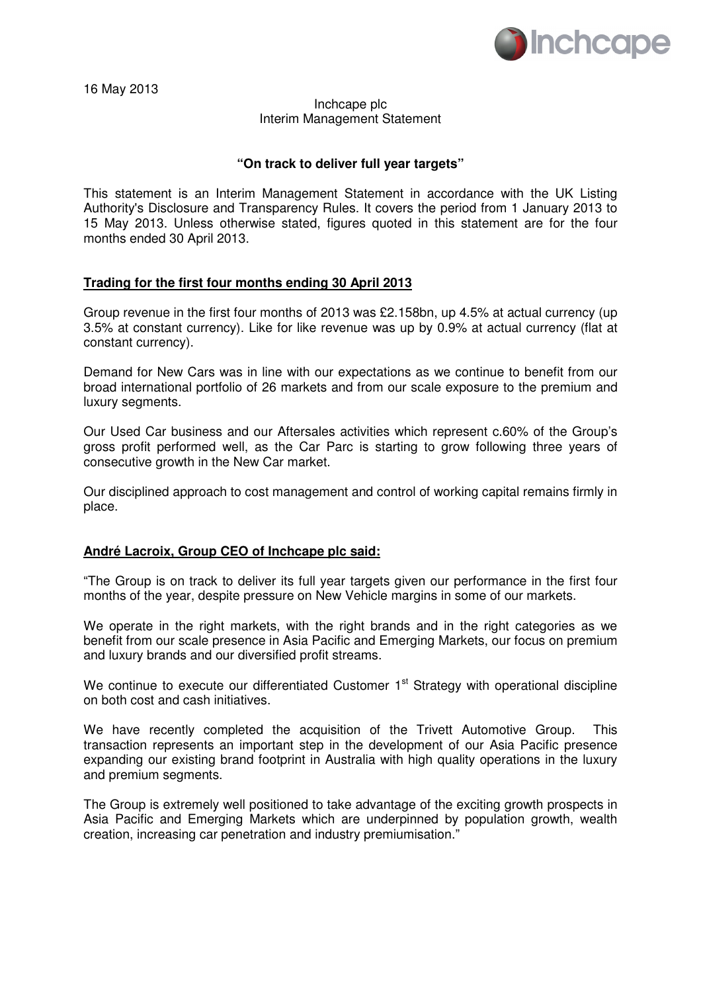

16 May 2013

### Inchcape plc Interim Management Statement

## **"On track to deliver full year targets"**

This statement is an Interim Management Statement in accordance with the UK Listing Authority's Disclosure and Transparency Rules. It covers the period from 1 January 2013 to 15 May 2013. Unless otherwise stated, figures quoted in this statement are for the four months ended 30 April 2013.

## **Trading for the first four months ending 30 April 2013**

Group revenue in the first four months of 2013 was £2.158bn, up 4.5% at actual currency (up 3.5% at constant currency). Like for like revenue was up by 0.9% at actual currency (flat at constant currency).

Demand for New Cars was in line with our expectations as we continue to benefit from our broad international portfolio of 26 markets and from our scale exposure to the premium and luxury segments.

Our Used Car business and our Aftersales activities which represent c.60% of the Group's gross profit performed well, as the Car Parc is starting to grow following three years of consecutive growth in the New Car market.

Our disciplined approach to cost management and control of working capital remains firmly in place.

## **André Lacroix, Group CEO of Inchcape plc said:**

"The Group is on track to deliver its full year targets given our performance in the first four months of the year, despite pressure on New Vehicle margins in some of our markets.

We operate in the right markets, with the right brands and in the right categories as we benefit from our scale presence in Asia Pacific and Emerging Markets, our focus on premium and luxury brands and our diversified profit streams.

We continue to execute our differentiated Customer 1<sup>st</sup> Strategy with operational discipline on both cost and cash initiatives.

We have recently completed the acquisition of the Trivett Automotive Group. This transaction represents an important step in the development of our Asia Pacific presence expanding our existing brand footprint in Australia with high quality operations in the luxury and premium segments.

The Group is extremely well positioned to take advantage of the exciting growth prospects in Asia Pacific and Emerging Markets which are underpinned by population growth, wealth creation, increasing car penetration and industry premiumisation."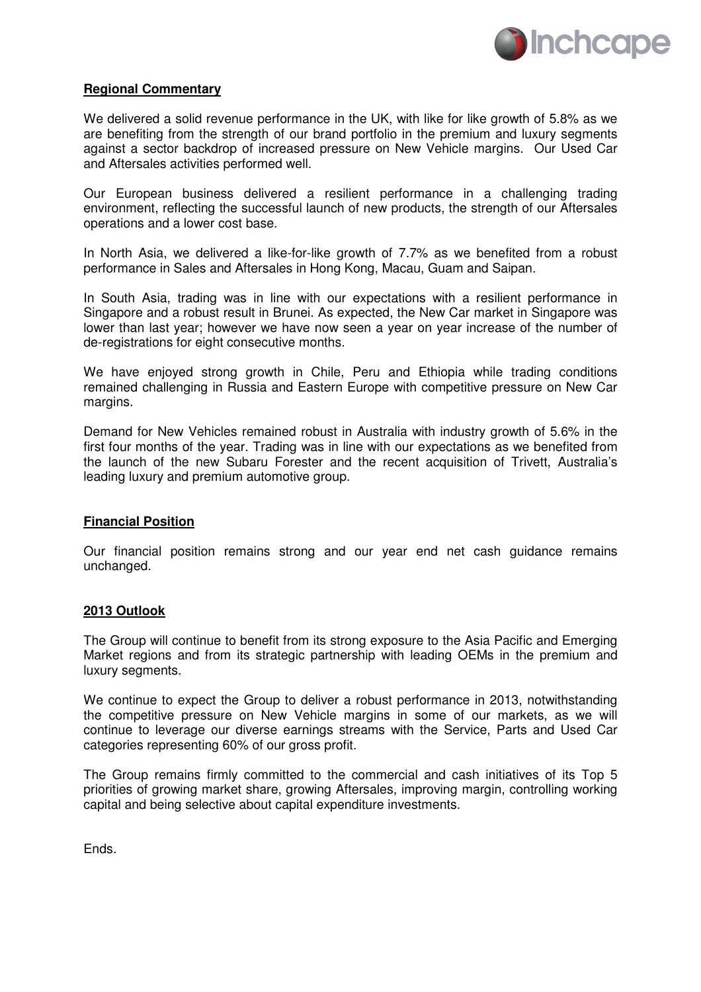

### **Regional Commentary**

We delivered a solid revenue performance in the UK, with like for like growth of 5.8% as we are benefiting from the strength of our brand portfolio in the premium and luxury segments against a sector backdrop of increased pressure on New Vehicle margins. Our Used Car and Aftersales activities performed well.

Our European business delivered a resilient performance in a challenging trading environment, reflecting the successful launch of new products, the strength of our Aftersales operations and a lower cost base.

In North Asia, we delivered a like-for-like growth of 7.7% as we benefited from a robust performance in Sales and Aftersales in Hong Kong, Macau, Guam and Saipan.

In South Asia, trading was in line with our expectations with a resilient performance in Singapore and a robust result in Brunei. As expected, the New Car market in Singapore was lower than last year; however we have now seen a year on year increase of the number of de-registrations for eight consecutive months.

We have enjoyed strong growth in Chile, Peru and Ethiopia while trading conditions remained challenging in Russia and Eastern Europe with competitive pressure on New Car margins.

Demand for New Vehicles remained robust in Australia with industry growth of 5.6% in the first four months of the year. Trading was in line with our expectations as we benefited from the launch of the new Subaru Forester and the recent acquisition of Trivett, Australia's leading luxury and premium automotive group.

## **Financial Position**

Our financial position remains strong and our year end net cash guidance remains unchanged.

#### **2013 Outlook**

The Group will continue to benefit from its strong exposure to the Asia Pacific and Emerging Market regions and from its strategic partnership with leading OEMs in the premium and luxury segments.

We continue to expect the Group to deliver a robust performance in 2013, notwithstanding the competitive pressure on New Vehicle margins in some of our markets, as we will continue to leverage our diverse earnings streams with the Service, Parts and Used Car categories representing 60% of our gross profit.

The Group remains firmly committed to the commercial and cash initiatives of its Top 5 priorities of growing market share, growing Aftersales, improving margin, controlling working capital and being selective about capital expenditure investments.

Ends.